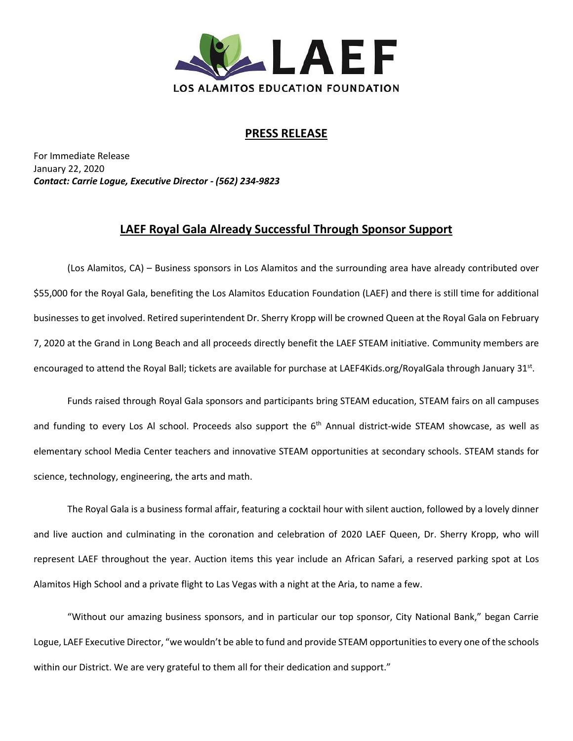

## **PRESS RELEASE**

For Immediate Release January 22, 2020 *Contact: Carrie Logue, Executive Director - (562) 234-9823*

## **LAEF Royal Gala Already Successful Through Sponsor Support**

(Los Alamitos, CA) – Business sponsors in Los Alamitos and the surrounding area have already contributed over \$55,000 for the Royal Gala, benefiting the Los Alamitos Education Foundation (LAEF) and there is still time for additional businesses to get involved. Retired superintendent Dr. Sherry Kropp will be crowned Queen at the Royal Gala on February 7, 2020 at the Grand in Long Beach and all proceeds directly benefit the LAEF STEAM initiative. Community members are encouraged to attend the Royal Ball; tickets are available for purchase at LAEF4Kids.org/RoyalGala through January 31<sup>st</sup>.

Funds raised through Royal Gala sponsors and participants bring STEAM education, STEAM fairs on all campuses and funding to every Los Al school. Proceeds also support the 6<sup>th</sup> Annual district-wide STEAM showcase, as well as elementary school Media Center teachers and innovative STEAM opportunities at secondary schools. STEAM stands for science, technology, engineering, the arts and math.

The Royal Gala is a business formal affair, featuring a cocktail hour with silent auction, followed by a lovely dinner and live auction and culminating in the coronation and celebration of 2020 LAEF Queen, Dr. Sherry Kropp, who will represent LAEF throughout the year. Auction items this year include an African Safari, a reserved parking spot at Los Alamitos High School and a private flight to Las Vegas with a night at the Aria, to name a few.

"Without our amazing business sponsors, and in particular our top sponsor, City National Bank," began Carrie Logue, LAEF Executive Director, "we wouldn't be able to fund and provide STEAM opportunities to every one of the schools within our District. We are very grateful to them all for their dedication and support."